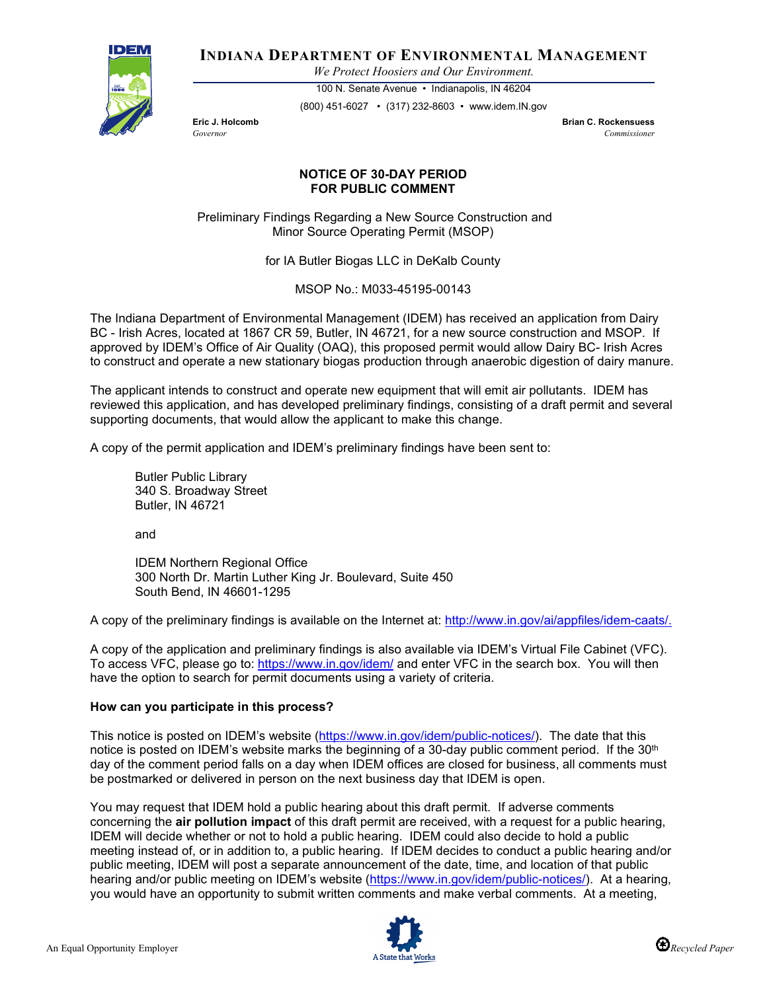

**INDIANA DEPARTMENT OF ENVIRONMENTAL MANAGEMENT**

*We Protect Hoosiers and Our Environment.*

100 N. Senate Avenue • Indianapolis, IN 46204 (800) 451-6027 • (317) 232-8603 • www.idem.IN.gov

**Eric J. Holcomb Brian C. Rockensuess** *Governor Commissioner* 

## **NOTICE OF 30-DAY PERIOD FOR PUBLIC COMMENT**

Preliminary Findings Regarding a New Source Construction and Minor Source Operating Permit (MSOP)

for IA Butler Biogas LLC in DeKalb County

MSOP No.: M033-45195-00143

The Indiana Department of Environmental Management (IDEM) has received an application from Dairy BC - Irish Acres, located at 1867 CR 59, Butler, IN 46721, for a new source construction and MSOP. If approved by IDEM's Office of Air Quality (OAQ), this proposed permit would allow Dairy BC- Irish Acres to construct and operate a new stationary biogas production through anaerobic digestion of dairy manure.

The applicant intends to construct and operate new equipment that will emit air pollutants. IDEM has reviewed this application, and has developed preliminary findings, consisting of a draft permit and several supporting documents, that would allow the applicant to make this change.

A copy of the permit application and IDEM's preliminary findings have been sent to:

Butler Public Library 340 S. Broadway Street Butler, IN 46721

and

IDEM Northern Regional Office 300 North Dr. Martin Luther King Jr. Boulevard, Suite 450 South Bend, IN 46601-1295

A copy of the preliminary findings is available on the Internet at: [http://www.in.gov/ai/appfiles/idem-caats/.](http://www.in.gov/ai/appfiles/idem-caats/)

A copy of the application and preliminary findings is also available via IDEM's Virtual File Cabinet (VFC). To access VFC, please go to:<https://www.in.gov/idem/> and enter VFC in the search box. You will then have the option to search for permit documents using a variety of criteria.

## **How can you participate in this process?**

This notice is posted on IDEM's website [\(https://www.in.gov/idem/public-notices/\)](https://www.in.gov/idem/public-notices/). The date that this notice is posted on IDEM's website marks the beginning of a 30-day public comment period. If the 30<sup>th</sup> day of the comment period falls on a day when IDEM offices are closed for business, all comments must be postmarked or delivered in person on the next business day that IDEM is open.

You may request that IDEM hold a public hearing about this draft permit. If adverse comments concerning the **air pollution impact** of this draft permit are received, with a request for a public hearing, IDEM will decide whether or not to hold a public hearing. IDEM could also decide to hold a public meeting instead of, or in addition to, a public hearing. If IDEM decides to conduct a public hearing and/or public meeting, IDEM will post a separate announcement of the date, time, and location of that public hearing and/or public meeting on IDEM's website [\(https://www.in.gov/idem/public-notices/\)](https://www.in.gov/idem/public-notices/). At a hearing, you would have an opportunity to submit written comments and make verbal comments. At a meeting,